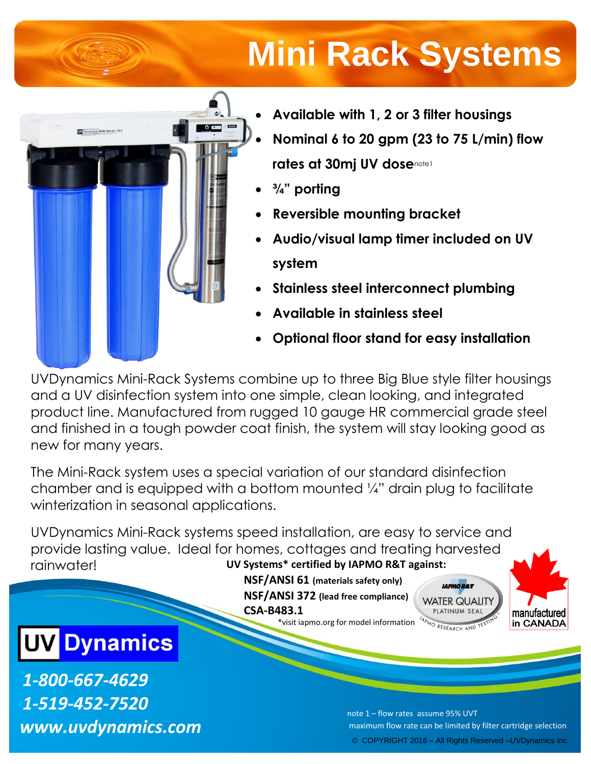# **Mini Rack Systems**



- **Available with 1, 2 or 3 filter housings**
- **Nominal 6 to 20 gpm (23 to 75 L/min) flow rates at 30mj UV dose**note1
- **¾" porting**
- **Reversible mounting bracket**
- **Audio/visual lamp timer included on UV system**
- **Stainless steel interconnect plumbing**
- **Available in stainless steel**
- **Optional floor stand for easy installation**

UVDynamics Mini-Rack Systems combine up to three Big Blue style filter housings and a UV disinfection system into one simple, clean looking, and integrated product line. Manufactured from rugged 10 gauge HR commercial grade steel and finished in a tough powder coat finish, the system will stay looking good as new for many years.

The Mini-Rack system uses a special variation of our standard disinfection chamber and is equipped with a bottom mounted ¼" drain plug to facilitate winterization in seasonal applications.

UVDynamics Mini-Rack systems speed installation, are easy to service and provide lasting value. Ideal for homes, cottages and treating harvested rainwater! **UV Systems\* certified by IAPMO R&T against:**

**NSF/ANSI 61 (materials safety only) NSF/ANSI 372 (lead free compliance) CSA-B483.1** \*visit iapmo.org for model information





# **UV Dynamics**

*1-800-667-4629 1-519-452-7520 www.uvdynamics.com*

© COPYRIGHT 2016 – All Rights Reserved –UVDynamics Inc. note 1 – flow rates assume 95% UVT maximum flow rate can be limited by filter cartridge selection